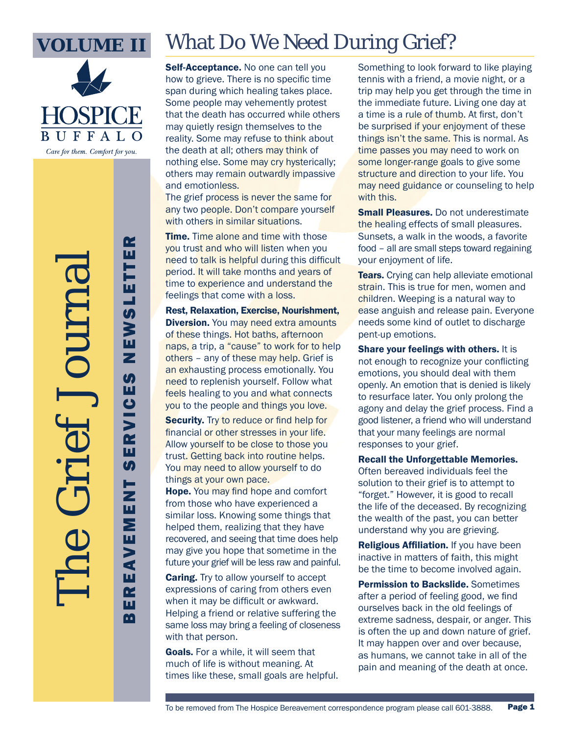

Care for them. Comfort for you.

The Grief Journal

# What Do We Need During Grief?

Self-Acceptance. No one can tell you how to grieve. There is no specific time span during which healing takes place. Some people may vehemently protest that the death has occurred while others may quietly resign themselves to the reality. Some may refuse to think about the death at all; others may think of nothing else. Some may cry hysterically; others may remain outwardly impassive and emotionless.

The grief process is never the same for any two people. Don't compare yourself with others in similar situations.

**Time.** Time alone and time with those you trust and who will listen when you need to talk is helpful during this difficult period. It will take months and years of time to experience and understand the feelings that come with a loss.

Rest, Relaxation, Exercise, Nourishment, **Diversion.** You may need extra amounts of these things. Hot baths, afternoon naps, a trip, a "cause" to work for to help others – any of these may help. Grief is an exhausting process emotionally. You need to replenish yourself. Follow what feels healing to you and what connects you to the people and things you love.

Security. Try to reduce or find help for financial or other stresses in your life. Allow yourself to be close to those you trust. Getting back into routine helps. You may need to allow yourself to do things at your own pace.

Hope. You may find hope and comfort from those who have experienced a similar loss. Knowing some things that helped them, realizing that they have recovered, and seeing that time does help may give you hope that sometime in the future your grief will be less raw and painful.

**Caring.** Try to allow yourself to accept expressions of caring from others even when it may be difficult or awkward. Helping a friend or relative suffering the same loss may bring a feeling of closeness with that person.

Goals. For a while, it will seem that much of life is without meaning. At times like these, small goals are helpful. Something to look forward to like playing tennis with a friend, a movie night, or a trip may help you get through the time in the immediate future. Living one day at a time is a rule of thumb. At first, don't be surprised if your enjoyment of these things isn't the same. This is normal. As time passes you may need to work on some longer-range goals to give some structure and direction to your life. You may need guidance or counseling to help with this.

**Small Pleasures.** Do not underestimate the healing effects of small pleasures. Sunsets, a walk in the woods, a favorite food – all are small steps toward regaining your enjoyment of life.

**Tears.** Crying can help alleviate emotional strain. This is true for men, women and children. Weeping is a natural way to ease anguish and release pain. Everyone needs some kind of outlet to discharge pent-up emotions.

Share your feelings with others. It is not enough to recognize your conflicting emotions, you should deal with them openly. An emotion that is denied is likely to resurface later. You only prolong the agony and delay the grief process. Find a good listener, a friend who will understand that your many feelings are normal responses to your grief.

Recall the Unforgettable Memories.

Often bereaved individuals feel the solution to their grief is to attempt to "forget." However, it is good to recall the life of the deceased. By recognizing the wealth of the past, you can better understand why you are grieving.

**Religious Affiliation.** If you have been inactive in matters of faith, this might be the time to become involved again.

Permission to Backslide. Sometimes after a period of feeling good, we find ourselves back in the old feelings of extreme sadness, despair, or anger. This is often the up and down nature of grief. It may happen over and over because, as humans, we cannot take in all of the pain and meaning of the death at once.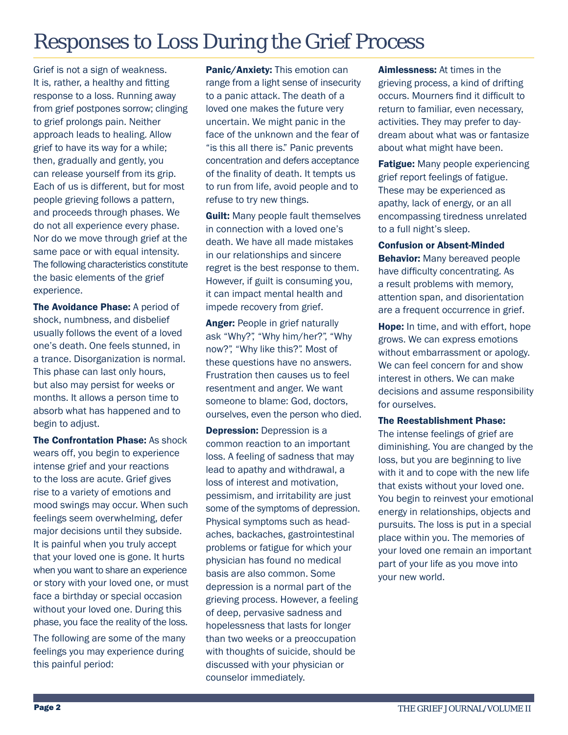## Responses to Loss During the Grief Process

Grief is not a sign of weakness. It is, rather, a healthy and fitting response to a loss. Running away from grief postpones sorrow; clinging to grief prolongs pain. Neither approach leads to healing. Allow grief to have its way for a while; then, gradually and gently, you can release yourself from its grip. Each of us is different, but for most people grieving follows a pattern, and proceeds through phases. We do not all experience every phase. Nor do we move through grief at the same pace or with equal intensity. The following characteristics constitute the basic elements of the grief experience.

The Avoidance Phase: A period of shock, numbness, and disbelief usually follows the event of a loved one's death. One feels stunned, in a trance. Disorganization is normal. This phase can last only hours, but also may persist for weeks or months. It allows a person time to absorb what has happened and to begin to adjust.

The Confrontation Phase: As shock wears off, you begin to experience intense grief and your reactions to the loss are acute. Grief gives rise to a variety of emotions and mood swings may occur. When such feelings seem overwhelming, defer major decisions until they subside. It is painful when you truly accept that your loved one is gone. It hurts when you want to share an experience or story with your loved one, or must face a birthday or special occasion without your loved one. During this phase, you face the reality of the loss. The following are some of the many feelings you may experience during this painful period:

Panic/Anxiety: This emotion can range from a light sense of insecurity to a panic attack. The death of a loved one makes the future very uncertain. We might panic in the face of the unknown and the fear of "is this all there is." Panic prevents concentration and defers acceptance of the finality of death. It tempts us to run from life, avoid people and to refuse to try new things.

**Guilt:** Many people fault themselves in connection with a loved one's death. We have all made mistakes in our relationships and sincere regret is the best response to them. However, if guilt is consuming you, it can impact mental health and impede recovery from grief.

Anger: People in grief naturally ask "Why?", "Why him/her?", "Why now?", "Why like this?". Most of these questions have no answers. Frustration then causes us to feel resentment and anger. We want someone to blame: God, doctors, ourselves, even the person who died.

**Depression:** Depression is a common reaction to an important loss. A feeling of sadness that may lead to apathy and withdrawal, a loss of interest and motivation, pessimism, and irritability are just some of the symptoms of depression. Physical symptoms such as headaches, backaches, gastrointestinal problems or fatigue for which your physician has found no medical basis are also common. Some depression is a normal part of the grieving process. However, a feeling of deep, pervasive sadness and hopelessness that lasts for longer than two weeks or a preoccupation with thoughts of suicide, should be discussed with your physician or counselor immediately.

Aimlessness: At times in the grieving process, a kind of drifting occurs. Mourners find it difficult to return to familiar, even necessary, activities. They may prefer to daydream about what was or fantasize about what might have been.

**Fatigue:** Many people experiencing grief report feelings of fatigue. These may be experienced as apathy, lack of energy, or an all encompassing tiredness unrelated to a full night's sleep.

Confusion or Absent-Minded **Behavior:** Many bereaved people have difficulty concentrating. As a result problems with memory, attention span, and disorientation are a frequent occurrence in grief.

Hope: In time, and with effort, hope grows. We can express emotions without embarrassment or apology. We can feel concern for and show interest in others. We can make decisions and assume responsibility for ourselves.

#### The Reestablishment Phase:

The intense feelings of grief are diminishing. You are changed by the loss, but you are beginning to live with it and to cope with the new life that exists without your loved one. You begin to reinvest your emotional energy in relationships, objects and pursuits. The loss is put in a special place within you. The memories of your loved one remain an important part of your life as you move into your new world.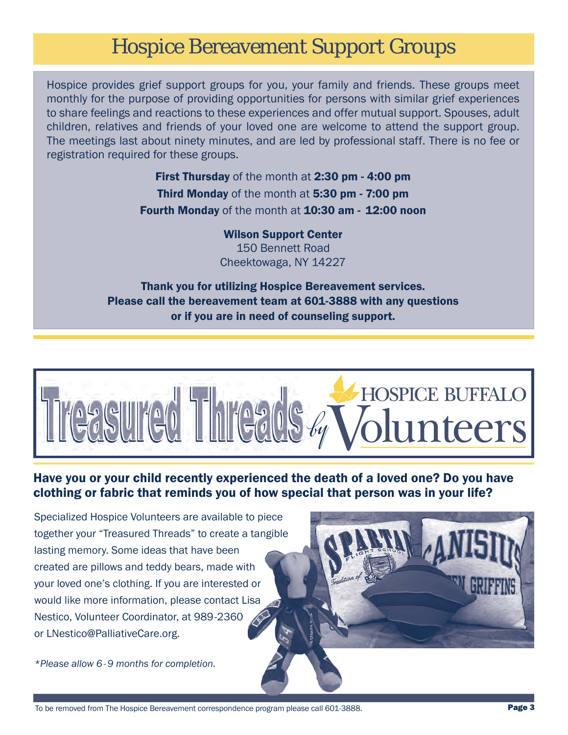### Hospice Bereavement Support Groups

Hospice provides grief support groups for you, your family and friends. These groups meet monthly for the purpose of providing opportunities for persons with similar grief experiences to share feelings and reactions to these experiences and offer mutual support. Spouses, adult children, relatives and friends of your loved one are welcome to attend the support group. The meetings last about ninety minutes, and are led by professional staff. There is no fee or registration required for these groups.

> **First Thursday** of the month at 2:30 pm - 4:00 pm Third Monday of the month at 5:30 pm - 7:00 pm Fourth Monday of the month at 10:30 am - 12:00 noon

> > Wilson Support Center 150 Bennett Road Cheektowaga, NY 14227

Thank you for utilizing Hospice Bereavement services. Please call the bereavement team at 601-3888 with any questions or if you are in need of counseling support.



### Have you or your child recently experienced the death of a loved one? Do you have clothing or fabric that reminds you of how special that person was in your life?

Specialized Hospice Volunteers are available to piece together your "Treasured Threads" to create a tangible lasting memory. Some ideas that have been created are pillows and teddy bears, made with your loved one's clothing. If you are interested or would like more information, please contact Lisa Nestico, Volunteer Coordinator, at 989-2360 or LNestico@PalliativeCare.org.

*\*Please allow 6- 9 months for completion.*